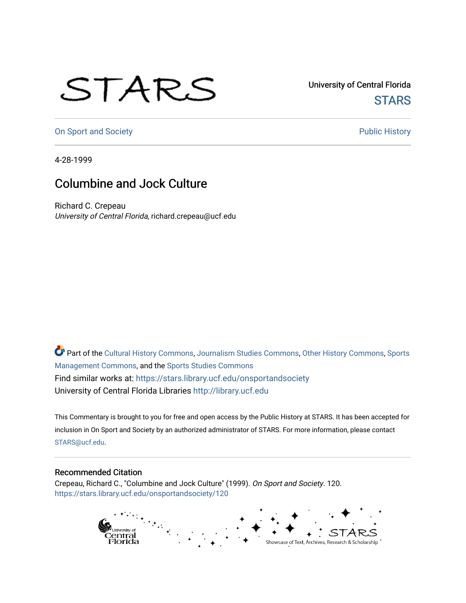## STARS

University of Central Florida **STARS** 

[On Sport and Society](https://stars.library.ucf.edu/onsportandsociety) **Public History** Public History

4-28-1999

## Columbine and Jock Culture

Richard C. Crepeau University of Central Florida, richard.crepeau@ucf.edu

Part of the [Cultural History Commons](http://network.bepress.com/hgg/discipline/496?utm_source=stars.library.ucf.edu%2Fonsportandsociety%2F120&utm_medium=PDF&utm_campaign=PDFCoverPages), [Journalism Studies Commons,](http://network.bepress.com/hgg/discipline/333?utm_source=stars.library.ucf.edu%2Fonsportandsociety%2F120&utm_medium=PDF&utm_campaign=PDFCoverPages) [Other History Commons,](http://network.bepress.com/hgg/discipline/508?utm_source=stars.library.ucf.edu%2Fonsportandsociety%2F120&utm_medium=PDF&utm_campaign=PDFCoverPages) [Sports](http://network.bepress.com/hgg/discipline/1193?utm_source=stars.library.ucf.edu%2Fonsportandsociety%2F120&utm_medium=PDF&utm_campaign=PDFCoverPages) [Management Commons](http://network.bepress.com/hgg/discipline/1193?utm_source=stars.library.ucf.edu%2Fonsportandsociety%2F120&utm_medium=PDF&utm_campaign=PDFCoverPages), and the [Sports Studies Commons](http://network.bepress.com/hgg/discipline/1198?utm_source=stars.library.ucf.edu%2Fonsportandsociety%2F120&utm_medium=PDF&utm_campaign=PDFCoverPages) Find similar works at: <https://stars.library.ucf.edu/onsportandsociety> University of Central Florida Libraries [http://library.ucf.edu](http://library.ucf.edu/) 

This Commentary is brought to you for free and open access by the Public History at STARS. It has been accepted for inclusion in On Sport and Society by an authorized administrator of STARS. For more information, please contact [STARS@ucf.edu](mailto:STARS@ucf.edu).

## Recommended Citation

Crepeau, Richard C., "Columbine and Jock Culture" (1999). On Sport and Society. 120. [https://stars.library.ucf.edu/onsportandsociety/120](https://stars.library.ucf.edu/onsportandsociety/120?utm_source=stars.library.ucf.edu%2Fonsportandsociety%2F120&utm_medium=PDF&utm_campaign=PDFCoverPages)

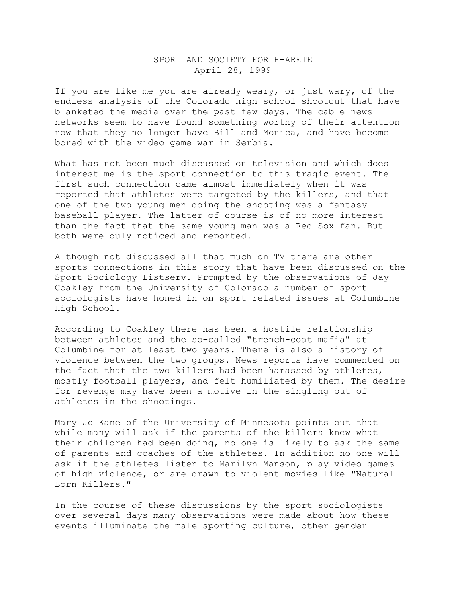## SPORT AND SOCIETY FOR H-ARETE April 28, 1999

If you are like me you are already weary, or just wary, of the endless analysis of the Colorado high school shootout that have blanketed the media over the past few days. The cable news networks seem to have found something worthy of their attention now that they no longer have Bill and Monica, and have become bored with the video game war in Serbia.

What has not been much discussed on television and which does interest me is the sport connection to this tragic event. The first such connection came almost immediately when it was reported that athletes were targeted by the killers, and that one of the two young men doing the shooting was a fantasy baseball player. The latter of course is of no more interest than the fact that the same young man was a Red Sox fan. But both were duly noticed and reported.

Although not discussed all that much on TV there are other sports connections in this story that have been discussed on the Sport Sociology Listserv. Prompted by the observations of Jay Coakley from the University of Colorado a number of sport sociologists have honed in on sport related issues at Columbine High School.

According to Coakley there has been a hostile relationship between athletes and the so-called "trench-coat mafia" at Columbine for at least two years. There is also a history of violence between the two groups. News reports have commented on the fact that the two killers had been harassed by athletes, mostly football players, and felt humiliated by them. The desire for revenge may have been a motive in the singling out of athletes in the shootings.

Mary Jo Kane of the University of Minnesota points out that while many will ask if the parents of the killers knew what their children had been doing, no one is likely to ask the same of parents and coaches of the athletes. In addition no one will ask if the athletes listen to Marilyn Manson, play video games of high violence, or are drawn to violent movies like "Natural Born Killers."

In the course of these discussions by the sport sociologists over several days many observations were made about how these events illuminate the male sporting culture, other gender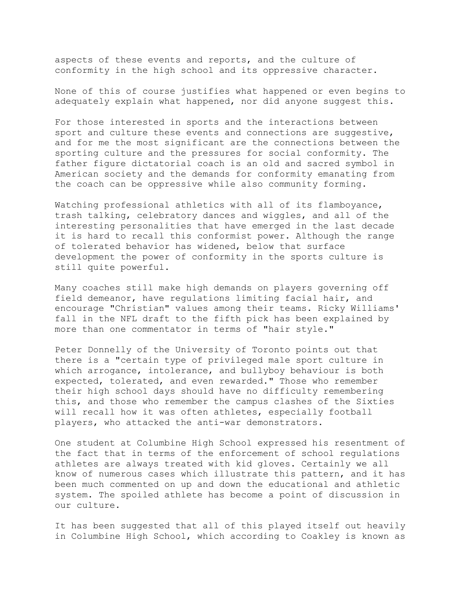aspects of these events and reports, and the culture of conformity in the high school and its oppressive character.

None of this of course justifies what happened or even begins to adequately explain what happened, nor did anyone suggest this.

For those interested in sports and the interactions between sport and culture these events and connections are suggestive, and for me the most significant are the connections between the sporting culture and the pressures for social conformity. The father figure dictatorial coach is an old and sacred symbol in American society and the demands for conformity emanating from the coach can be oppressive while also community forming.

Watching professional athletics with all of its flamboyance, trash talking, celebratory dances and wiggles, and all of the interesting personalities that have emerged in the last decade it is hard to recall this conformist power. Although the range of tolerated behavior has widened, below that surface development the power of conformity in the sports culture is still quite powerful.

Many coaches still make high demands on players governing off field demeanor, have regulations limiting facial hair, and encourage "Christian" values among their teams. Ricky Williams' fall in the NFL draft to the fifth pick has been explained by more than one commentator in terms of "hair style."

Peter Donnelly of the University of Toronto points out that there is a "certain type of privileged male sport culture in which arrogance, intolerance, and bullyboy behaviour is both expected, tolerated, and even rewarded." Those who remember their high school days should have no difficulty remembering this, and those who remember the campus clashes of the Sixties will recall how it was often athletes, especially football players, who attacked the anti-war demonstrators.

One student at Columbine High School expressed his resentment of the fact that in terms of the enforcement of school regulations athletes are always treated with kid gloves. Certainly we all know of numerous cases which illustrate this pattern, and it has been much commented on up and down the educational and athletic system. The spoiled athlete has become a point of discussion in our culture.

It has been suggested that all of this played itself out heavily in Columbine High School, which according to Coakley is known as